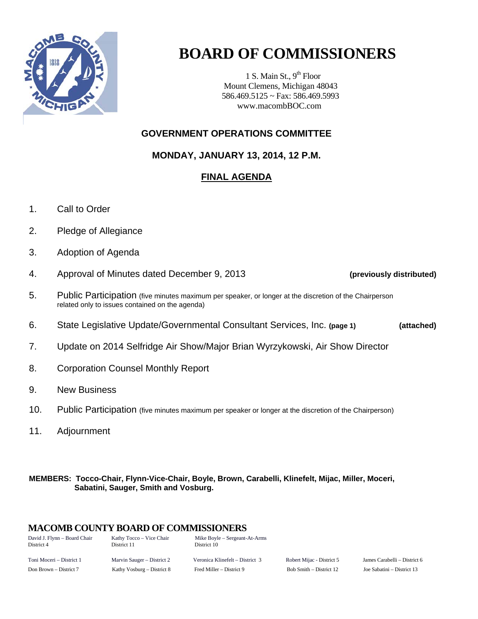

# **BOARD OF COMMISSIONERS**

1 S. Main St.,  $9<sup>th</sup>$  Floor Mount Clemens, Michigan 48043 586.469.5125 ~ Fax: 586.469.5993 www.macombBOC.com

## **GOVERNMENT OPERATIONS COMMITTEE**

**MONDAY, JANUARY 13, 2014, 12 P.M.** 

# **FINAL AGENDA**

- 1. Call to Order
- 2. Pledge of Allegiance
- 3. Adoption of Agenda
- 4. Approval of Minutes dated December 9, 2013 **(previously distributed)**
- 5. Public Participation (five minutes maximum per speaker, or longer at the discretion of the Chairperson related only to issues contained on the agenda)
- 6. State Legislative Update/Governmental Consultant Services, Inc. **(page 1) (attached)**
- 7. Update on 2014 Selfridge Air Show/Major Brian Wyrzykowski, Air Show Director
- 8. Corporation Counsel Monthly Report
- 9. New Business
- 10. Public Participation (five minutes maximum per speaker or longer at the discretion of the Chairperson)
- 11. Adjournment

#### **MEMBERS: Tocco-Chair, Flynn-Vice-Chair, Boyle, Brown, Carabelli, Klinefelt, Mijac, Miller, Moceri, Sabatini, Sauger, Smith and Vosburg.**

## **MACOMB COUNTY BOARD OF COMMISSIONERS**

| David J. Flynn – Board Chair<br>District 4 | Kathy Tocco - Vice Chair<br>District 11 | Mike Boyle – Sergeant-At-Arms<br>District 10 |
|--------------------------------------------|-----------------------------------------|----------------------------------------------|
| Toni Moceri – District 1                   | Marvin Sauger – District 2              | Veronica Klinefelt – District 3              |
| Don Brown – District 7                     | Kathy Vosburg – District 8              | Fred Miller – District 9                     |

Bob Smith – District 12 Joe Sabatini – District 13

Robert Mijac - District 5 James Carabelli – District 6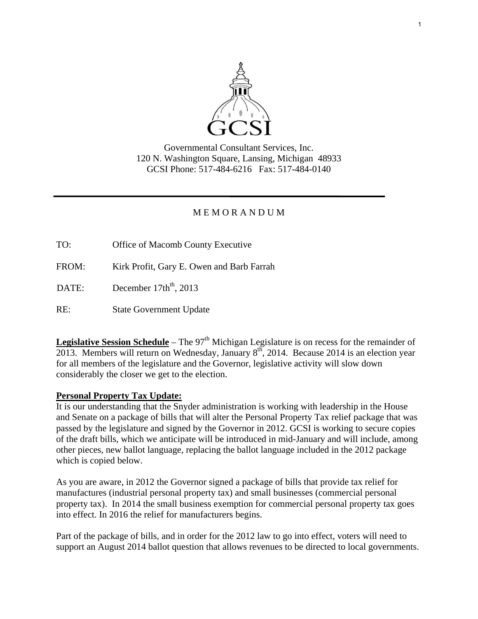

Governmental Consultant Services, Inc. 120 N. Washington Square, Lansing, Michigan 48933 GCSI Phone: 517-484-6216 Fax: 517-484-0140

## M E M O R A N D U M

TO: Office of Macomb County Executive

FROM: Kirk Profit, Gary E. Owen and Barb Farrah

DATE: December  $17th<sup>th</sup>$ , 2013

RE: State Government Update

**Legislative Session Schedule** – The  $97<sup>th</sup>$  Michigan Legislature is on recess for the remainder of 2013. Members will return on Wednesday, January  $8<sup>th</sup>$ , 2014. Because 2014 is an election year for all members of the legislature and the Governor, legislative activity will slow down considerably the closer we get to the election.

## **Personal Property Tax Update:**

It is our understanding that the Snyder administration is working with leadership in the House and Senate on a package of bills that will alter the Personal Property Tax relief package that was passed by the legislature and signed by the Governor in 2012. GCSI is working to secure copies of the draft bills, which we anticipate will be introduced in mid-January and will include, among other pieces, new ballot language, replacing the ballot language included in the 2012 package which is copied below.

As you are aware, in 2012 the Governor signed a package of bills that provide tax relief for manufactures (industrial personal property tax) and small businesses (commercial personal property tax). In 2014 the small business exemption for commercial personal property tax goes into effect. In 2016 the relief for manufacturers begins.

Part of the package of bills, and in order for the 2012 law to go into effect, voters will need to support an August 2014 ballot question that allows revenues to be directed to local governments.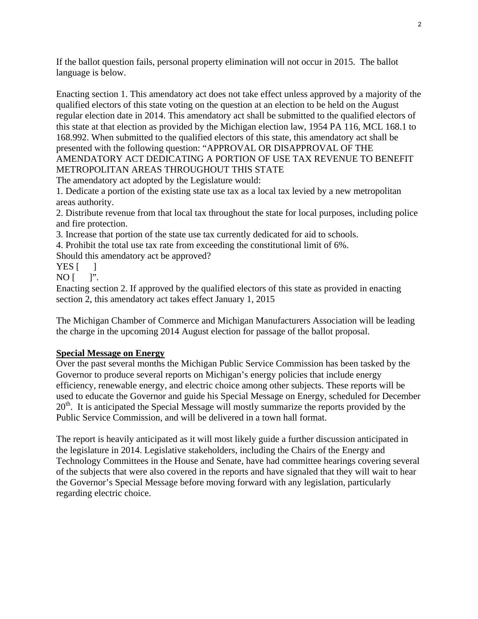If the ballot question fails, personal property elimination will not occur in 2015. The ballot language is below.

Enacting section 1. This amendatory act does not take effect unless approved by a majority of the qualified electors of this state voting on the question at an election to be held on the August regular election date in 2014. This amendatory act shall be submitted to the qualified electors of this state at that election as provided by the Michigan election law, 1954 PA 116, MCL 168.1 to 168.992. When submitted to the qualified electors of this state, this amendatory act shall be presented with the following question: "APPROVAL OR DISAPPROVAL OF THE AMENDATORY ACT DEDICATING A PORTION OF USE TAX REVENUE TO BENEFIT METROPOLITAN AREAS THROUGHOUT THIS STATE

The amendatory act adopted by the Legislature would:

1. Dedicate a portion of the existing state use tax as a local tax levied by a new metropolitan areas authority.

2. Distribute revenue from that local tax throughout the state for local purposes, including police and fire protection.

3. Increase that portion of the state use tax currently dedicated for aid to schools.

4. Prohibit the total use tax rate from exceeding the constitutional limit of 6%.

Should this amendatory act be approved?

YES  $\lceil \quad \rceil$ 

 $NO$  [  $"$ .

Enacting section 2. If approved by the qualified electors of this state as provided in enacting section 2, this amendatory act takes effect January 1, 2015

The Michigan Chamber of Commerce and Michigan Manufacturers Association will be leading the charge in the upcoming 2014 August election for passage of the ballot proposal.

### **Special Message on Energy**

Over the past several months the Michigan Public Service Commission has been tasked by the Governor to produce several reports on Michigan's energy policies that include energy efficiency, renewable energy, and electric choice among other subjects. These reports will be used to educate the Governor and guide his Special Message on Energy, scheduled for December  $20<sup>th</sup>$ . It is anticipated the Special Message will mostly summarize the reports provided by the Public Service Commission, and will be delivered in a town hall format.

The report is heavily anticipated as it will most likely guide a further discussion anticipated in the legislature in 2014. Legislative stakeholders, including the Chairs of the Energy and Technology Committees in the House and Senate, have had committee hearings covering several of the subjects that were also covered in the reports and have signaled that they will wait to hear the Governor's Special Message before moving forward with any legislation, particularly regarding electric choice.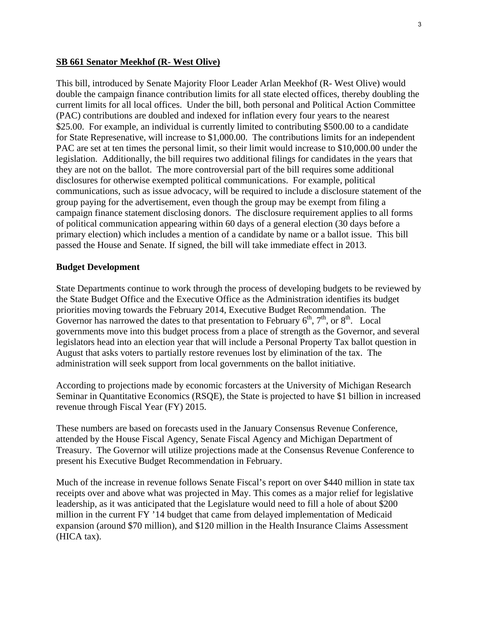#### **SB 661 Senator Meekhof (R- West Olive)**

This bill, introduced by Senate Majority Floor Leader Arlan Meekhof (R- West Olive) would double the campaign finance contribution limits for all state elected offices, thereby doubling the current limits for all local offices. Under the bill, both personal and Political Action Committee (PAC) contributions are doubled and indexed for inflation every four years to the nearest \$25.00. For example, an individual is currently limited to contributing \$500.00 to a candidate for State Represenative, will increase to \$1,000.00. The contributions limits for an independent PAC are set at ten times the personal limit, so their limit would increase to \$10,000.00 under the legislation. Additionally, the bill requires two additional filings for candidates in the years that they are not on the ballot. The more controversial part of the bill requires some additional disclosures for otherwise exempted political communications. For example, political communications, such as issue advocacy, will be required to include a disclosure statement of the group paying for the advertisement, even though the group may be exempt from filing a campaign finance statement disclosing donors. The disclosure requirement applies to all forms of political communication appearing within 60 days of a general election (30 days before a primary election) which includes a mention of a candidate by name or a ballot issue. This bill passed the House and Senate. If signed, the bill will take immediate effect in 2013.

#### **Budget Development**

State Departments continue to work through the process of developing budgets to be reviewed by the State Budget Office and the Executive Office as the Administration identifies its budget priorities moving towards the February 2014, Executive Budget Recommendation. The Governor has narrowed the dates to that presentation to February  $6<sup>th</sup>$ ,  $7<sup>th</sup>$ , or  $8<sup>th</sup>$ . Local governments move into this budget process from a place of strength as the Governor, and several legislators head into an election year that will include a Personal Property Tax ballot question in August that asks voters to partially restore revenues lost by elimination of the tax. The administration will seek support from local governments on the ballot initiative.

According to projections made by economic forcasters at the University of Michigan Research Seminar in Quantitative Economics (RSQE), the State is projected to have \$1 billion in increased revenue through Fiscal Year (FY) 2015.

These numbers are based on forecasts used in the January Consensus Revenue Conference, attended by the House Fiscal Agency, Senate Fiscal Agency and Michigan Department of Treasury. The Governor will utilize projections made at the Consensus Revenue Conference to present his Executive Budget Recommendation in February.

Much of the increase in revenue follows Senate Fiscal's report on over \$440 million in state tax receipts over and above what was projected in May. This comes as a major relief for legislative leadership, as it was anticipated that the Legislature would need to fill a hole of about \$200 million in the current FY '14 budget that came from delayed implementation of Medicaid expansion (around \$70 million), and \$120 million in the Health Insurance Claims Assessment (HICA tax).